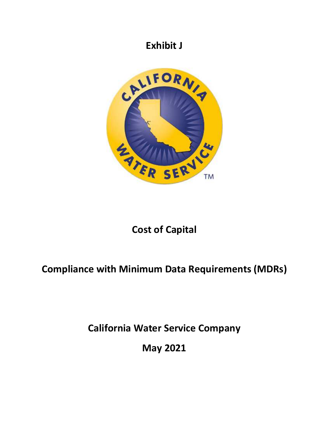

# **Cost of Capital**

# **Compliance with Minimum Data Requirements (MDRs)**

**California Water Service Company** 

**May 2021**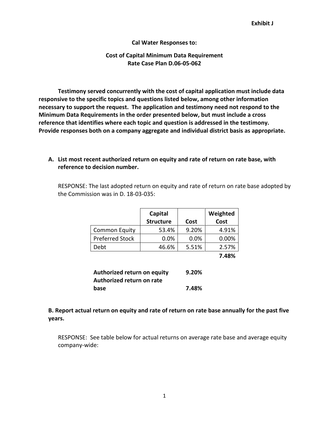#### **Cal Water Responses to:**

#### **Cost of Capital Minimum Data Requirement Rate Case Plan D.06-05-062**

**Testimony served concurrently with the cost of capital application must include data responsive to the specific topics and questions listed below, among other information necessary to support the request. The application and testimony need not respond to the Minimum Data Requirements in the order presented below, but must include a cross reference that identifies where each topic and question is addressed in the testimony. Provide responses both on a company aggregate and individual district basis as appropriate.** 

#### **A. List most recent authorized return on equity and rate of return on rate base, with reference to decision number.**

RESPONSE: The last adopted return on equity and rate of return on rate base adopted by the Commission was in D. 18-03-035:

|                        | Capital<br><b>Structure</b> | Cost  | Weighted<br>Cost |
|------------------------|-----------------------------|-------|------------------|
| <b>Common Equity</b>   | 53.4%                       | 9.20% | 4.91%            |
| <b>Preferred Stock</b> | 0.0%                        | 0.0%  | 0.00%            |
| Debt                   | 46.6%                       | 5.51% | 2.57%            |
|                        |                             |       | 7.48%            |

| Authorized return on equity | 9.20% |
|-----------------------------|-------|
| Authorized return on rate   |       |
| base                        | 7.48% |

### **B. Report actual return on equity and rate of return on rate base annually for the past five years.**

RESPONSE: See table below for actual returns on average rate base and average equity company-wide: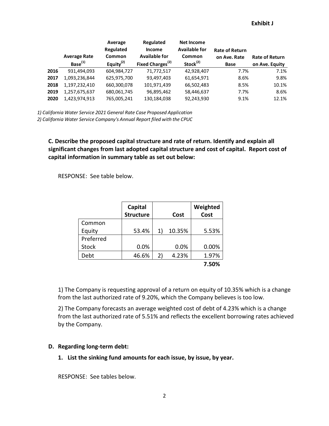|      | <b>Average Rate</b><br>Base <sup>(1)</sup> | Average<br>Regulated<br>Common<br>Equity $^{(2)}$ | Regulated<br><b>Income</b><br><b>Available for</b><br>Fixed Charges <sup>(2)</sup> | <b>Net Income</b><br><b>Available for</b><br>Common<br>Stock <sup>(2)</sup> | <b>Rate of Return</b><br>on Ave. Rate<br>Base | <b>Rate of Return</b><br>on Ave. Equity |
|------|--------------------------------------------|---------------------------------------------------|------------------------------------------------------------------------------------|-----------------------------------------------------------------------------|-----------------------------------------------|-----------------------------------------|
| 2016 | 931.494.093                                | 604,984,727                                       | 71,772,517                                                                         | 42,928,407                                                                  | 7.7%                                          | 7.1%                                    |
| 2017 | 1,093,236,844                              | 625,975,700                                       | 93,497,403                                                                         | 61,654,971                                                                  | 8.6%                                          | 9.8%                                    |
| 2018 | 1,197,232,410                              | 660,300,078                                       | 101,971,439                                                                        | 66,502,483                                                                  | 8.5%                                          | 10.1%                                   |
| 2019 | 1,257,675,637                              | 680,061,745                                       | 96,895,462                                                                         | 58,446,637                                                                  | 7.7%                                          | 8.6%                                    |
| 2020 | 1,423,974,913                              | 765,005,241                                       | 130,184,038                                                                        | 92,243,930                                                                  | 9.1%                                          | 12.1%                                   |

*1) California Water Service 2021 General Rate Case Proposed Application*

*2) California Water Service Company's Annual Report filed with the CPUC*

**C. Describe the proposed capital structure and rate of return. Identify and explain all significant changes from last adopted capital structure and cost of capital. Report cost of capital information in summary table as set out below:** 

RESPONSE: See table below.

|              | Capital<br><b>Structure</b> |    | Cost   | Weighted<br>Cost |
|--------------|-----------------------------|----|--------|------------------|
| Common       |                             |    |        |                  |
| Equity       | 53.4%                       | 1) | 10.35% | 5.53%            |
| Preferred    |                             |    |        |                  |
| <b>Stock</b> | 0.0%                        |    | 0.0%   | 0.00%            |
| Debt         | 46.6%                       | 2) | 4.23%  | 1.97%            |
|              |                             |    |        | 7.50%            |

1) The Company is requesting approval of a return on equity of 10.35% which is a change from the last authorized rate of 9.20%, which the Company believes is too low.

2) The Company forecasts an average weighted cost of debt of 4.23% which is a change from the last authorized rate of 5.51% and reflects the excellent borrowing rates achieved by the Company.

#### **D. Regarding long-term debt:**

**1. List the sinking fund amounts for each issue, by issue, by year.** 

RESPONSE: See tables below.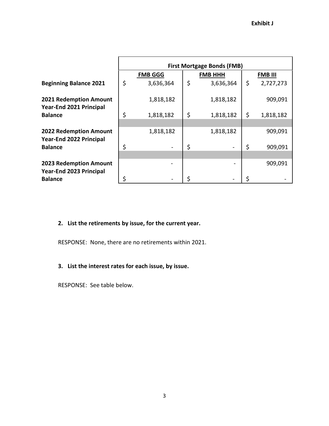|                                                                 | <b>First Mortgage Bonds (FMB)</b> |                |    |                |    |                |  |  |
|-----------------------------------------------------------------|-----------------------------------|----------------|----|----------------|----|----------------|--|--|
|                                                                 |                                   | <b>FMB GGG</b> |    | <b>FMB HHH</b> |    | <b>FMB III</b> |  |  |
| <b>Beginning Balance 2021</b>                                   | \$                                | 3,636,364      | \$ | 3,636,364      | \$ | 2,727,273      |  |  |
| <b>2021 Redemption Amount</b><br>Year-End 2021 Principal        |                                   | 1,818,182      |    | 1,818,182      |    | 909,091        |  |  |
| <b>Balance</b>                                                  | \$                                | 1,818,182      | \$ | 1,818,182      | \$ | 1,818,182      |  |  |
| <b>2022 Redemption Amount</b><br><b>Year-End 2022 Principal</b> |                                   | 1,818,182      |    | 1,818,182      |    | 909,091        |  |  |
| <b>Balance</b>                                                  | \$                                |                | \$ |                | \$ | 909,091        |  |  |
| <b>2023 Redemption Amount</b><br>Year-End 2023 Principal        |                                   |                |    |                |    | 909,091        |  |  |
| <b>Balance</b>                                                  | \$                                |                | \$ |                |    |                |  |  |

## **2. List the retirements by issue, for the current year.**

RESPONSE: None, there are no retirements within 2021.

## **3. List the interest rates for each issue, by issue.**

RESPONSE: See table below.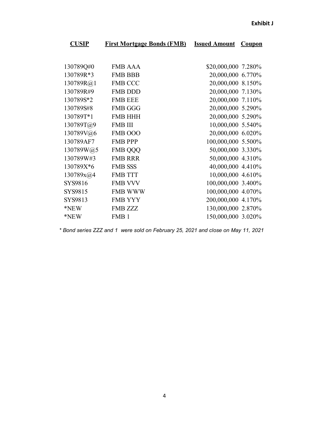| <b>CUSIP</b> | <b>First Mortgage Bonds (FMB)</b> | <b>Issued Amount</b> | <b>Coupon</b> |
|--------------|-----------------------------------|----------------------|---------------|
|              |                                   |                      |               |
| 130789Q#0    | <b>FMB AAA</b>                    | \$20,000,000 7.280%  |               |
| 130789R*3    | <b>FMB BBB</b>                    | 20,000,000 6.770%    |               |
| 130789R@1    | <b>FMB CCC</b>                    | 20,000,000 8.150%    |               |
| 130789R#9    | <b>FMB DDD</b>                    | 20,000,000 7.130%    |               |
| 130789S*2    | <b>FMB EEE</b>                    | 20,000,000 7.110%    |               |
| 130789S#8    | <b>FMB GGG</b>                    | 20,000,000 5.290%    |               |
| 130789T*1    | <b>FMB HHH</b>                    | 20,000,000 5.290%    |               |
| 130789T@9    | <b>FMB III</b>                    | 10,000,000 5.540%    |               |
| 130789V@6    | FMB OOO                           | 20,000,000 6.020%    |               |
| 130789AF7    | <b>FMB PPP</b>                    | 100,000,000 5.500%   |               |
| 130789W@5    | <b>FMB QQQ</b>                    | 50,000,000 3.330%    |               |
| 130789W#3    | <b>FMB RRR</b>                    | 50,000,000 4.310%    |               |
| 130789X*6    | <b>FMB SSS</b>                    | 40,000,000 4.410%    |               |
| 130789x@4    | <b>FMB TTT</b>                    | 10,000,000 4.610%    |               |
| SYS9816      | <b>FMB VVV</b>                    | 100,000,000 3.400%   |               |
| SYS9815      | <b>FMB WWW</b>                    | 100,000,000 4.070%   |               |
| SYS9813      | <b>FMB YYY</b>                    | 200,000,000 4.170%   |               |
| *NEW         | <b>FMB ZZZ</b>                    | 130,000,000 2.870%   |               |
| *NEW         | FMB <sub>1</sub>                  | 150,000,000 3.020%   |               |

*\* Bond series ZZZ and 1 were sold on February 25, 2021 and close on May 11, 2021.*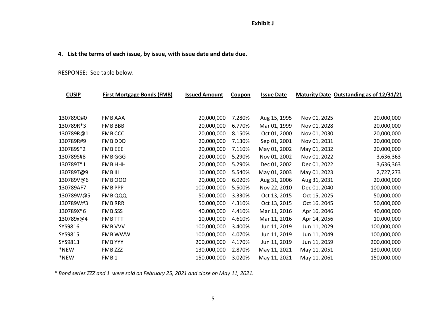### **4. List the terms of each issue, by issue, with issue date and date due.**

#### RESPONSE: See table below.

| <b>CUSIP</b> | <b>First Mortgage Bonds (FMB)</b> | <b>Issued Amount</b> | <b>Coupon</b> | <b>Issue Date</b> |              | Maturity Date Outstanding as of 12/31/21 |
|--------------|-----------------------------------|----------------------|---------------|-------------------|--------------|------------------------------------------|
|              |                                   |                      |               |                   |              |                                          |
| 130789Q#0    | <b>FMB AAA</b>                    | 20,000,000           | 7.280%        | Aug 15, 1995      | Nov 01, 2025 | 20,000,000                               |
| 130789R*3    | <b>FMB BBB</b>                    | 20,000,000           | 6.770%        | Mar 01, 1999      | Nov 01, 2028 | 20,000,000                               |
| 130789R@1    | <b>FMB CCC</b>                    | 20,000,000           | 8.150%        | Oct 01, 2000      | Nov 01, 2030 | 20,000,000                               |
| 130789R#9    | FMB DDD                           | 20,000,000           | 7.130%        | Sep 01, 2001      | Nov 01, 2031 | 20,000,000                               |
| 130789S*2    | FMB EEE                           | 20,000,000           | 7.110%        | May 01, 2002      | May 01, 2032 | 20,000,000                               |
| 130789S#8    | <b>FMB GGG</b>                    | 20,000,000           | 5.290%        | Nov 01, 2002      | Nov 01, 2022 | 3,636,363                                |
| 130789T*1    | <b>FMB HHH</b>                    | 20,000,000           | 5.290%        | Dec 01, 2002      | Dec 01, 2022 | 3,636,363                                |
| 130789T@9    | FMB III                           | 10,000,000           | 5.540%        | May 01, 2003      | May 01, 2023 | 2,727,273                                |
| 130789V@6    | <b>FMB 000</b>                    | 20,000,000           | 6.020%        | Aug 31, 2006      | Aug 31, 2031 | 20,000,000                               |
| 130789AF7    | <b>FMB PPP</b>                    | 100,000,000          | 5.500%        | Nov 22, 2010      | Dec 01, 2040 | 100,000,000                              |
| 130789W@5    | FMB QQQ                           | 50,000,000           | 3.330%        | Oct 13, 2015      | Oct 15, 2025 | 50,000,000                               |
| 130789W#3    | <b>FMB RRR</b>                    | 50,000,000           | 4.310%        | Oct 13, 2015      | Oct 16, 2045 | 50,000,000                               |
| 130789X*6    | <b>FMB SSS</b>                    | 40,000,000           | 4.410%        | Mar 11, 2016      | Apr 16, 2046 | 40,000,000                               |
| 130789x@4    | <b>FMB TTT</b>                    | 10,000,000           | 4.610%        | Mar 11, 2016      | Apr 14, 2056 | 10,000,000                               |
| SYS9816      | FMB VVV                           | 100,000,000          | 3.400%        | Jun 11, 2019      | Jun 11, 2029 | 100,000,000                              |
| SYS9815      | FMB WWW                           | 100,000,000          | 4.070%        | Jun 11, 2019      | Jun 11, 2049 | 100,000,000                              |
| SYS9813      | <b>FMB YYY</b>                    | 200,000,000          | 4.170%        | Jun 11, 2019      | Jun 11, 2059 | 200,000,000                              |
| *NEW         | FMB ZZZ                           | 130,000,000          | 2.870%        | May 11, 2021      | May 11, 2051 | 130,000,000                              |
| *NEW         | FMB <sub>1</sub>                  | 150,000,000          | 3.020%        | May 11, 2021      | May 11, 2061 | 150,000,000                              |

*\* Bond series ZZZ and 1 were sold on February 25, 2021 and close on May 11, 2021.*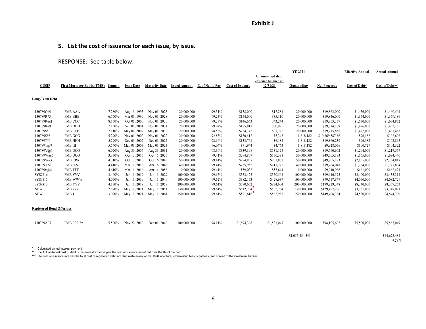## **5. List the cost of issuance for each issue, by issue.**

#### RESPONSE: See table below.

|                                  |                                   |        |                   |                      |                      |                 |                         |                                                          | <b>YE 2021</b>  |                     | <b>Effective Annual</b> | <b>Actual Annual</b>  |
|----------------------------------|-----------------------------------|--------|-------------------|----------------------|----------------------|-----------------|-------------------------|----------------------------------------------------------|-----------------|---------------------|-------------------------|-----------------------|
| <b>CUSIP</b>                     | <b>First Mortgage Bonds (FMB)</b> | Coupon | <b>Issue Date</b> | <b>Maturity Date</b> | <b>Issued Amount</b> | % of Net to Par | <b>Cost of Issuance</b> | <b>Unamortized debt</b><br>expense balance @<br>12/31/21 | Outstanding     | <b>Net Proceeds</b> | Cost of Debt*           | Cost of Debt**        |
| Long-Term Debt                   |                                   |        |                   |                      |                      |                 |                         |                                                          |                 |                     |                         |                       |
| 130789Q#0                        | <b>FMB AAA</b>                    | 7.280% | Aug 15, 1995      | Nov 01, 2025         | 20,000,000           | 99.31%          | \$138,000               | \$17,284                                                 | 20,000,000      | \$19,862,000        | \$1,456,000             | \$1,460,564           |
| 130789R*3                        | <b>FMB BBB</b>                    | 6.770% | Mar 01, 1999      | Nov 01, 2028         | 20,000,000           | 99.23%          | \$154,000               | \$35,110                                                 | 20,000,000      | \$19,846,000        | \$1,354,000             | \$1,359,186           |
| 130789R@1                        | <b>FMB CCC</b>                    | 8.150% | Oct 01, 2000      | Nov 01, 2030         | 20,000,000           | 99.27%          | \$146,663               | \$43,244                                                 | 20,000,000      | \$19,853,337        | \$1,630,000             | \$1,634,872           |
| 130789R#9                        | <b>FMB DDD</b>                    | 7.130% | Sep 01, 2001      | Nov 01, 2031         | 20,000,000           | 99.07%          | \$185,811               | \$60,925                                                 | 20,000,000      | \$19,814,189        | \$1,426,000             | \$1,432,155           |
| 130789S*2                        | <b>FMB EEE</b>                    | 7.110% | May 01, 2002      | May 01, 2032         | 20,000,000           | 98.58%          | \$284,145               | \$97,772                                                 | 20,000,000      | \$19,715,855        | \$1,422,000             | \$1,431,465           |
| 130789S#8                        | <b>FMB GGG</b>                    | 5.290% | Nov 01, 2002      | Nov 01, 2022         | 20,000,000           | 92.83%          | \$130,412               | \$5,343                                                  | 1,818,182       | \$19,869,587.86     | \$96,182                | \$102,698             |
| 130789T*1                        | <b>FMB HHH</b>                    | 5.290% | Dec 01, 2002      | Dec 01, 2022         | 20,000,000           | 92.64%          | \$133,761               | \$6,184                                                  | 1,818,182       | \$19,866,239        | \$96,182                | \$102,865             |
| 130789T@9                        | <b>FMB III</b>                    | 5.540% | May 01, 2003      | May 01, 2023         | 10,000,000           | 96.04%          | \$71,944                | \$4,763                                                  | 1,818,182       | \$9,928,056         | \$100,727               | \$104,322             |
| 130789V@6                        | FMB OOO                           | 6.020% | Aug 31, 2006      | Aug 31, 2031         | 20,000,000           | 98.30%          | \$339,398               | \$131,124                                                | 20,000,000      | \$19,660,602        | \$1,204,000             | \$1,217,567           |
| 130789W@5                        | <b>FMB QQQ</b>                    | 3.330% | Oct 13, 2015      | Oct 15, 2025         | 50,000,000           | 99.41%          | \$294,807               | \$130,391                                                | 50,000,000      | \$49,705,193        | \$1,665,000             | \$1,694,440           |
| 130789W#3                        | <b>FMB RRR</b>                    | 4.310% | Oct 13, 2015      | Oct 16, 2045         | 50,000,000           | 99.41%          | \$294,807               | \$261,882                                                | 50,000,000      | \$49,705,193        | \$2,155,000             | \$2,164,817           |
| 130789X*6                        | <b>FMB SSS</b>                    | 4.410% | Mar 11, 2016      | Apr 16, 2046         | 40,000,000           | 99.41%          | \$235,952               | \$211,222                                                | 40,000,000      | \$39,764,048        | \$1,764,000             | \$1,771,834           |
| 130789x@4                        | <b>FMB TTT</b>                    | 4.610% | Mar 11, 2016      | Apr 14, 2056         | 10,000,000           | 99.41%          | \$59,032                | \$55,644                                                 | 10,000,000      | \$9,940,968         | \$461,000               | \$462,471             |
| SYS9816                          | <b>FMB VVV</b>                    | 3.400% | Jun 11, 2019      | Jun 11, 2029         | 100,000,000          | 99.65%          | \$353,425               | \$350,564                                                | 100,000,000     | \$99,646,575        | \$3,400,000             | \$3,435,314           |
| SYS9815                          | <b>FMB WWW</b>                    | 4.070% | Jun 11, 2019      | Jun 11, 2049         | 100,000,000          | 99.62%          | \$382,153               | \$428,637                                                | 100,000,000     | \$99,617,847        | \$4,070,000             | \$4,082,729           |
| SYS9813                          | <b>FMB YYY</b>                    | 4.170% | Jun 11, 2019      | Jun 11, 2059         | 200,000,000          | 99.61%          | \$770,652               | \$874,604                                                | 200,000,000     | \$199,229,348       | \$8,340,000             | \$8,359,253           |
| <b>NEW</b>                       | FMB ZZZ                           | 2.870% | May 11, 2021      | May 11, 2051         | 130,000,000          | 99.61%          | \$512,734               | \$502,764                                                | 130,000,000     | \$129,487,266       | \$3,731,000             | \$3,748,091           |
| <b>NEW</b>                       | FMB <sub>1</sub>                  | 3.020% | May 11, 2021      | May 11, 2061         | 150,000,000          | 99.61%          | \$591,616               | \$582,988                                                | 150,000,000     | \$149,408,384       | \$4,530,000             | \$4,544,790           |
| <b>Registered Bond Offerings</b> |                                   |        |                   |                      |                      |                 |                         |                                                          |                 |                     |                         |                       |
| 130789AF7                        | FMB PPP **                        | 5.500% | Nov 22, 2010      | Dec 01, 2040         | 100,000,000          | 98.11%          | \$1,894,398             | \$1,531,047                                              | 100,000,000     | \$98,105,602        | \$5,500,000             | \$5,563,049           |
|                                  |                                   |        |                   |                      |                      |                 |                         |                                                          |                 |                     |                         |                       |
|                                  |                                   |        |                   |                      |                      |                 |                         |                                                          | \$1,055,454,545 |                     |                         | \$44,672,484<br>4.23% |

\* Calculated annual interest payment<br>\*\* The Actual Annual cost of debt is the interest expense plus the cost of issuance amortized over the life of the debt<br>\*\*\* The cost of issuance includes the total cost of registered d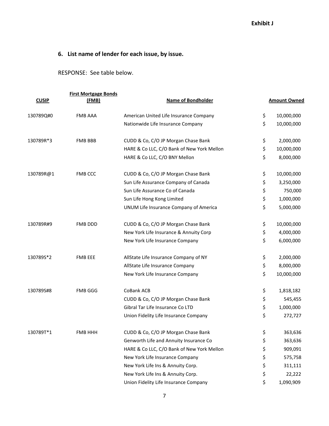## **6. List name of lender for each issue, by issue.**

RESPONSE: See table below.

|              | <b>First Mortgage Bonds</b> |                                            |                     |
|--------------|-----------------------------|--------------------------------------------|---------------------|
| <b>CUSIP</b> | (FMB)                       | <b>Name of Bondholder</b>                  | <b>Amount Owned</b> |
| 130789Q#0    | <b>FMB AAA</b>              | American United Life Insurance Company     | \$<br>10,000,000    |
|              |                             | Nationwide Life Insurance Company          | \$<br>10,000,000    |
| 130789R*3    | <b>FMB BBB</b>              | CUDD & Co, C/O JP Morgan Chase Bank        | \$<br>2,000,000     |
|              |                             | HARE & Co LLC, C/O Bank of New York Mellon | \$<br>10,000,000    |
|              |                             | HARE & Co LLC, C/O BNY Mellon              | \$<br>8,000,000     |
| 130789R@1    | <b>FMB CCC</b>              | CUDD & Co, C/O JP Morgan Chase Bank        | \$<br>10,000,000    |
|              |                             | Sun Life Assurance Company of Canada       | \$<br>3,250,000     |
|              |                             | Sun Life Assurance Co of Canada            | \$<br>750,000       |
|              |                             | Sun Life Hong Kong Limited                 | \$<br>1,000,000     |
|              |                             | UNUM Life Insurance Company of America     | \$<br>5,000,000     |
| 130789R#9    | FMB DDD                     | CUDD & Co, C/O JP Morgan Chase Bank        | \$<br>10,000,000    |
|              |                             | New York Life Insurance & Annuity Corp     | \$<br>4,000,000     |
|              |                             | New York Life Insurance Company            | \$<br>6,000,000     |
| 130789S*2    | <b>FMB EEE</b>              | AllState Life Insurance Company of NY      | \$<br>2,000,000     |
|              |                             | AllState Life Insurance Company            | \$<br>8,000,000     |
|              |                             | New York Life Insurance Company            | \$<br>10,000,000    |
| 130789S#8    | FMB GGG                     | CoBank ACB                                 | \$<br>1,818,182     |
|              |                             | CUDD & Co, C/O JP Morgan Chase Bank        | \$<br>545,455       |
|              |                             | Gibral Tar Life Insurance Co LTD           | \$<br>1,000,000     |
|              |                             | Union Fidelity Life Insurance Company      | \$<br>272,727       |
| 130789T*1    | <b>FMB HHH</b>              | CUDD & Co, C/O JP Morgan Chase Bank        | \$<br>363,636       |
|              |                             | Genworth Life and Annuity Insurance Co     | \$<br>363,636       |
|              |                             | HARE & Co LLC, C/O Bank of New York Mellon | \$<br>909,091       |
|              |                             | New York Life Insurance Company            | \$<br>575,758       |
|              |                             | New York Life Ins & Annuity Corp.          | \$<br>311,111       |
|              |                             | New York Life Ins & Annuity Corp.          | \$<br>22,222        |
|              |                             | Union Fidelity Life Insurance Company      | \$<br>1,090,909     |
|              |                             |                                            |                     |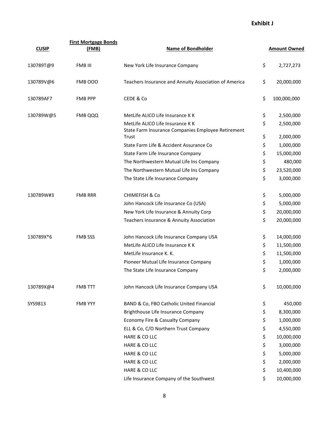| <b>CUSIP</b> | <b>First Mortgage Bonds</b><br>(FMB) | <b>Name of Bondholder</b>                                                              | <b>Amount Owned</b> |
|--------------|--------------------------------------|----------------------------------------------------------------------------------------|---------------------|
| 130789T@9    | FMB III                              | New York Life Insurance Company                                                        | \$<br>2,727,273     |
| 130789V@6    | FMB 000                              | Teachers Insurance and Annuity Association of America                                  | \$<br>20,000,000    |
| 130789AF7    | <b>FMB PPP</b>                       | CEDE & Co                                                                              | \$<br>100,000,000   |
| 130789W@5    | FMB QQQ                              | MetLife ALICO Life Insurance K K                                                       | \$<br>2,500,000     |
|              |                                      | MetLife ALICO Life Insurance K K<br>State Farm Insurance Companies Employee Retirement | \$<br>2,500,000     |
|              |                                      | Trust                                                                                  | \$<br>2,000,000     |
|              |                                      | State Farm Life & Accident Assurance Co                                                | \$<br>1,000,000     |
|              |                                      | State Farm Life Insurance Company                                                      | \$<br>15,000,000    |
|              |                                      | The Northwestern Mutual Life Ins Company                                               | \$<br>480,000       |
|              |                                      | The Northwestern Mutual Life Ins Company                                               | \$<br>23,520,000    |
|              |                                      | The State Life Insurance Company                                                       | \$<br>3,000,000     |
| 130789W#3    | <b>FMB RRR</b>                       | <b>CHIMEFISH &amp; Co</b>                                                              | \$<br>5,000,000     |
|              |                                      | John Hancock Life Insurance Co (USA)                                                   | \$<br>5,000,000     |
|              |                                      | New York Life Insurance & Annuity Corp                                                 | \$<br>20,000,000    |
|              |                                      | Teachers Insurance & Annuity Association                                               | \$<br>20,000,000    |
| 130789X*6    | <b>FMB SSS</b>                       | John Hancock Life Insurance Company USA                                                | \$<br>14,000,000    |
|              |                                      | MetLife ALICO Life Insurance K K                                                       | \$<br>11,500,000    |
|              |                                      | MetLife Insurance K. K.                                                                | \$<br>11,500,000    |
|              |                                      | Pioneer Mutual Life Insurance Company                                                  | \$<br>1,000,000     |
|              |                                      | The State Life Insurance Company                                                       | \$<br>2,000,000     |
| 130789X@4    | <b>FMB TTT</b>                       | John Hancock Life Insurance Company USA                                                | \$<br>10,000,000    |
| SYS9813      | <b>FMB YYY</b>                       | BAND & Co, FBO Catholic United Financial                                               | \$<br>450,000       |
|              |                                      | Brighthouse Life Insurance Company                                                     | \$<br>8,300,000     |
|              |                                      | Economy Fire & Casualty Company                                                        | \$<br>1,000,000     |
|              |                                      | ELL & Co, C/O Northern Trust Company                                                   | \$<br>4,550,000     |
|              |                                      | HARE & CO LLC                                                                          | \$<br>10,000,000    |
|              |                                      | HARE & CO LLC                                                                          | \$<br>3,000,000     |
|              |                                      | HARE & CO LLC                                                                          | \$<br>5,000,000     |
|              |                                      | HARE & CO LLC                                                                          | \$<br>2,000,000     |
|              |                                      | HARE & CO LLC                                                                          | \$<br>10,400,000    |
|              |                                      | Life Insurance Company of the Southwest                                                | \$<br>10,000,000    |
|              |                                      |                                                                                        |                     |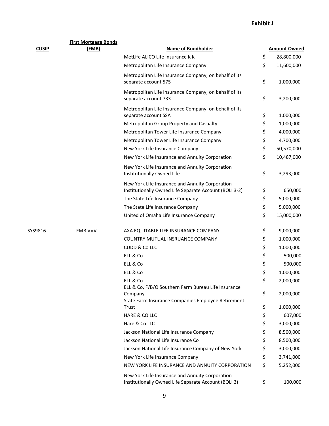| <b>CUSIP</b> | <b>First Mortgage Bonds</b><br>(FMB) | <b>Name of Bondholder</b>                                                                                 | <b>Amount Owned</b> |
|--------------|--------------------------------------|-----------------------------------------------------------------------------------------------------------|---------------------|
|              |                                      | MetLife ALICO Life Insurance K K                                                                          | \$<br>28,800,000    |
|              |                                      | Metropolitan Life Insurance Company                                                                       | \$<br>11,600,000    |
|              |                                      | Metropolitan Life Insurance Company, on behalf of its<br>separate account 575                             | \$<br>1,000,000     |
|              |                                      | Metropolitan Life Insurance Company, on behalf of its<br>separate account 733                             | \$<br>3,200,000     |
|              |                                      | Metropolitan Life Insurance Company, on behalf of its<br>separate account SSA                             | \$<br>1,000,000     |
|              |                                      | Metropolitan Group Property and Casualty                                                                  | \$<br>1,000,000     |
|              |                                      | Metropolitan Tower Life Insurance Company                                                                 | \$<br>4,000,000     |
|              |                                      | Metropolitan Tower Life Insurance Company                                                                 | \$<br>4,700,000     |
|              |                                      | New York Life Insurance Company                                                                           | \$<br>50,570,000    |
|              |                                      | New York Life Insurance and Annuity Corporation                                                           | \$<br>10,487,000    |
|              |                                      | New York Life Insurance and Annuity Corporation<br>Institutionally Owned Life                             | \$<br>3,293,000     |
|              |                                      | New York Life Insurance and Annuity Corporation<br>Institutionally Owned Life Separate Account (BOLI 3-2) | \$<br>650,000       |
|              |                                      | The State Life Insurance Company                                                                          | \$<br>5,000,000     |
|              |                                      | The State Life Insurance Company                                                                          | \$<br>5,000,000     |
|              |                                      | United of Omaha Life Insurance Company                                                                    | \$<br>15,000,000    |
| SYS9816      | <b>FMB VVV</b>                       | AXA EQUITABLE LIFE INSURANCE COMPANY                                                                      | \$<br>9,000,000     |
|              |                                      | COUNTRY MUTUAL INSRUANCE COMPANY                                                                          | \$<br>1,000,000     |
|              |                                      | CUDD & Co LLC                                                                                             | \$<br>1,000,000     |
|              |                                      | ELL & Co                                                                                                  | \$<br>500,000       |
|              |                                      | ELL & Co                                                                                                  | \$<br>500,000       |
|              |                                      | ELL & Co                                                                                                  | \$<br>1,000,000     |
|              |                                      | ELL & Co<br>ELL & Co, F/B/O Southern Farm Bureau Life Insurance                                           | \$<br>2,000,000     |
|              |                                      | Company<br>State Farm Insurance Companies Employee Retirement                                             | \$<br>2,000,000     |
|              |                                      | Trust                                                                                                     | \$<br>1,000,000     |
|              |                                      | HARE & CO LLC                                                                                             | \$<br>607,000       |
|              |                                      | Hare & Co LLC                                                                                             | \$<br>3,000,000     |
|              |                                      | Jackson National Life Insurance Company                                                                   | \$<br>8,500,000     |
|              |                                      | Jackson National Life Insurance Co                                                                        | \$<br>8,500,000     |
|              |                                      | Jackson National Life Insurance Company of New York                                                       | \$<br>3,000,000     |
|              |                                      | New York Life Insurance Company                                                                           | \$<br>3,741,000     |
|              |                                      | NEW YORK LIFE INSURANCE AND ANNUITY CORPORATION                                                           | \$<br>5,252,000     |
|              |                                      | New York Life Insurance and Annuity Corporation<br>Institutionally Owned Life Separate Account (BOLI 3)   | \$<br>100,000       |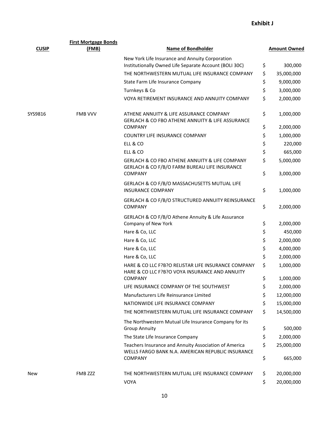|              | <b>First Mortgage Bonds</b> |                                                                                                                   |          |                        |  |
|--------------|-----------------------------|-------------------------------------------------------------------------------------------------------------------|----------|------------------------|--|
| <b>CUSIP</b> | (FMB)                       | <b>Name of Bondholder</b>                                                                                         |          | <b>Amount Owned</b>    |  |
|              |                             | New York Life Insurance and Annuity Corporation<br>Institutionally Owned Life Separate Account (BOLI 30C)         | \$       | 300,000                |  |
|              |                             | THE NORTHWESTERN MUTUAL LIFE INSURANCE COMPANY                                                                    | \$       | 35,000,000             |  |
|              |                             | State Farm Life Insurance Company                                                                                 | \$       | 9,000,000              |  |
|              |                             | Turnkeys & Co                                                                                                     | \$       | 3,000,000              |  |
|              |                             | VOYA RETIREMENT INSURANCE AND ANNUITY COMPANY                                                                     | \$       | 2,000,000              |  |
| SYS9816      | <b>FMB VVV</b>              | ATHENE ANNUITY & LIFE ASSURANCE COMPANY<br><b>GERLACH &amp; CO FBO ATHENE ANNUITY &amp; LIFE ASSURANCE</b>        | \$       | 1,000,000              |  |
|              |                             | <b>COMPANY</b>                                                                                                    | \$       | 2,000,000              |  |
|              |                             | COUNTRY LIFE INSURANCE COMPANY                                                                                    | \$       | 1,000,000              |  |
|              |                             | ELL & CO                                                                                                          | \$       | 220,000                |  |
|              |                             | ELL & CO                                                                                                          | \$       | 665,000                |  |
|              |                             | GERLACH & CO FBO ATHENE ANNUITY & LIFE COMPANY<br>GERLACH & CO F/B/O FARM BUREAU LIFE INSURANCE<br><b>COMPANY</b> | \$<br>\$ | 5,000,000<br>3,000,000 |  |
|              |                             | GERLACH & CO F/B/O MASSACHUSETTS MUTUAL LIFE<br><b>INSURANCE COMPANY</b>                                          | \$       | 1,000,000              |  |
|              |                             |                                                                                                                   |          |                        |  |
|              |                             | GERLACH & CO F/B/O STRUCTURED ANNUITY REINSURANCE<br><b>COMPANY</b>                                               | \$       | 2,000,000              |  |
|              |                             | GERLACH & CO F/B/O Athene Annuity & Life Assurance<br>Company of New York                                         | \$       | 2,000,000              |  |
|              |                             | Hare & Co, LLC                                                                                                    | \$       | 450,000                |  |
|              |                             | Hare & Co, LLC                                                                                                    | \$       | 2,000,000              |  |
|              |                             | Hare & Co, LLC                                                                                                    | \$       | 4,000,000              |  |
|              |                             | Hare & Co, LLC                                                                                                    | \$       | 2,000,000              |  |
|              |                             | HARE & CO LLC F?B?O RELISTAR LIFE INSURANCE COMPANY<br>HARE & CO LLC F?B?O VOYA INSURANCE AND ANNUITY             | \$       | 1,000,000              |  |
|              |                             | <b>COMPANY</b>                                                                                                    | \$       | 1,000,000              |  |
|              |                             | LIFE INSURANCE COMPANY OF THE SOUTHWEST                                                                           | \$       | 2,000,000              |  |
|              |                             | Manufacturers Life Reinsurance Limited                                                                            | \$       | 12,000,000             |  |
|              |                             | NATIONWIDE LIFE INSURANCE COMPANY                                                                                 | \$       | 15,000,000             |  |
|              |                             | THE NORTHWESTERN MUTUAL LIFE INSURANCE COMPANY                                                                    | \$       | 14,500,000             |  |
|              |                             | The Northwestern Mutual Life Insurance Company for its<br><b>Group Annuity</b>                                    | \$       | 500,000                |  |
|              |                             | The State Life Insurance Company                                                                                  | \$       | 2,000,000              |  |
|              |                             | Teachers Insurance and Annuity Association of America<br>WELLS FARGO BANK N.A. AMERICAN REPUBLIC INSURANCE        | \$       | 25,000,000             |  |
|              |                             | <b>COMPANY</b>                                                                                                    | \$       | 665,000                |  |
| New          | FMB ZZZ                     | THE NORTHWESTERN MUTUAL LIFE INSURANCE COMPANY                                                                    | \$       | 20,000,000             |  |
|              |                             | VOYA                                                                                                              | \$       | 20,000,000             |  |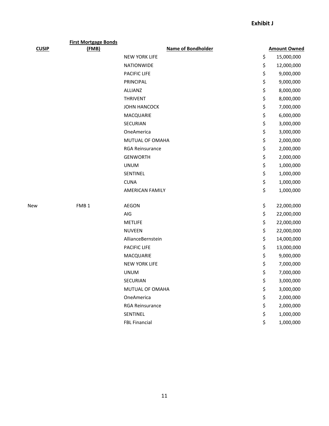| <b>CUSIP</b> | <b>First Mortgage Bonds</b><br>(FMB) | <b>Name of Bondholder</b> | <b>Amount Owned</b> |
|--------------|--------------------------------------|---------------------------|---------------------|
|              |                                      | <b>NEW YORK LIFE</b>      | \$<br>15,000,000    |
|              |                                      | <b>NATIONWIDE</b>         | \$<br>12,000,000    |
|              |                                      | PACIFIC LIFE              | \$<br>9,000,000     |
|              |                                      | PRINCIPAL                 | \$<br>9,000,000     |
|              |                                      | <b>ALLIANZ</b>            | \$<br>8,000,000     |
|              |                                      | <b>THRIVENT</b>           | \$<br>8,000,000     |
|              |                                      | <b>JOHN HANCOCK</b>       | \$<br>7,000,000     |
|              |                                      | MACQUARIE                 | \$<br>6,000,000     |
|              |                                      | SECURIAN                  | \$<br>3,000,000     |
|              |                                      | OneAmerica                | \$<br>3,000,000     |
|              |                                      | MUTUAL OF OMAHA           | \$<br>2,000,000     |
|              |                                      | <b>RGA Reinsurance</b>    | \$<br>2,000,000     |
|              |                                      | <b>GENWORTH</b>           | \$<br>2,000,000     |
|              |                                      | <b>UNUM</b>               | \$<br>1,000,000     |
|              |                                      | SENTINEL                  | \$<br>1,000,000     |
|              |                                      | <b>CUNA</b>               | \$<br>1,000,000     |
|              |                                      | <b>AMERICAN FAMILY</b>    | \$<br>1,000,000     |
| New          | FMB <sub>1</sub>                     | <b>AEGON</b>              | \$<br>22,000,000    |
|              |                                      | AIG                       | \$<br>22,000,000    |
|              |                                      | <b>METLIFE</b>            | \$<br>22,000,000    |
|              |                                      | <b>NUVEEN</b>             | \$<br>22,000,000    |
|              |                                      | AllianceBernstein         | \$<br>14,000,000    |
|              |                                      | PACIFIC LIFE              | \$<br>13,000,000    |
|              |                                      | MACQUARIE                 | \$<br>9,000,000     |
|              |                                      | <b>NEW YORK LIFE</b>      | \$<br>7,000,000     |
|              |                                      | <b>UNUM</b>               | \$<br>7,000,000     |
|              |                                      | SECURIAN                  | \$<br>3,000,000     |
|              |                                      | MUTUAL OF OMAHA           | \$<br>3,000,000     |
|              |                                      | OneAmerica                | \$<br>2,000,000     |
|              |                                      | RGA Reinsurance           | \$<br>2,000,000     |
|              |                                      | SENTINEL                  | \$<br>1,000,000     |
|              |                                      | <b>FBL Financial</b>      | \$<br>1,000,000     |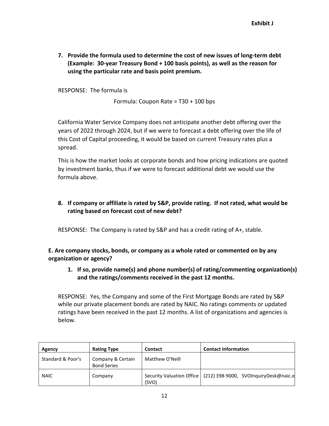**7. Provide the formula used to determine the cost of new issues of long-term debt (Example: 30-year Treasury Bond + 100 basis points), as well as the reason for using the particular rate and basis point premium.** 

RESPONSE: The formula is

Formula: Coupon Rate = T30 + 100 bps

California Water Service Company does not anticipate another debt offering over the years of 2022 through 2024, but if we were to forecast a debt offering over the life of this Cost of Capital proceeding, it would be based on current Treasury rates plus a spread.

This is how the market looks at corporate bonds and how pricing indications are quoted by investment banks, thus if we were to forecast additional debt we would use the formula above.

## **8. If company or affiliate is rated by S&P, provide rating. If not rated, what would be rating based on forecast cost of new debt?**

RESPONSE: The Company is rated by S&P and has a credit rating of A+, stable.

**E. Are company stocks, bonds, or company as a whole rated or commented on by any organization or agency?** 

**1. If so, provide name(s) and phone number(s) of rating/commenting organization(s) and the ratings/comments received in the past 12 months.** 

RESPONSE: Yes, the Company and some of the First Mortgage Bonds are rated by S&P while our private placement bonds are rated by NAIC. No ratings comments or updated ratings have been received in the past 12 months. A list of organizations and agencies is below.

| Agency            | <b>Rating Type</b>                      | Contact         | <b>Contact Information</b>                                        |
|-------------------|-----------------------------------------|-----------------|-------------------------------------------------------------------|
| Standard & Poor's | Company & Certain<br><b>Bond Series</b> | Matthew O'Neill |                                                                   |
| <b>NAIC</b>       | Company                                 | (SVO)           | Security Valuation Office   (212) 398-9000, SVOInquiryDesk@naic.o |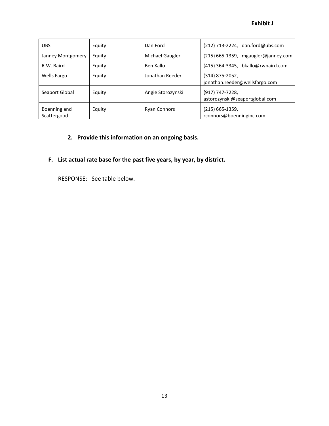| <b>UBS</b>                  | Equity | Dan Ford            | $(212)$ 713-2224, dan.ford@ubs.com                  |
|-----------------------------|--------|---------------------|-----------------------------------------------------|
| Janney Montgomery           | Equity | Michael Gaugler     | (215) 665-1359, mgaugler@janney.com                 |
| R.W. Baird                  | Equity | Ben Kallo           | (415) 364-3345, bkallo@rwbaird.com                  |
| Wells Fargo                 | Equity | Jonathan Reeder     | $(314)$ 875-2052,<br>jonathan.reeder@wellsfargo.com |
| Seaport Global              | Equity | Angie Storozynski   | (917) 747-7228,<br>astorozynski@seaportglobal.com   |
| Boenning and<br>Scattergood | Equity | <b>Ryan Connors</b> | $(215)$ 665-1359,<br>rconnors@boenninginc.com       |

## **2. Provide this information on an ongoing basis.**

## **F. List actual rate base for the past five years, by year, by district.**

RESPONSE: See table below.